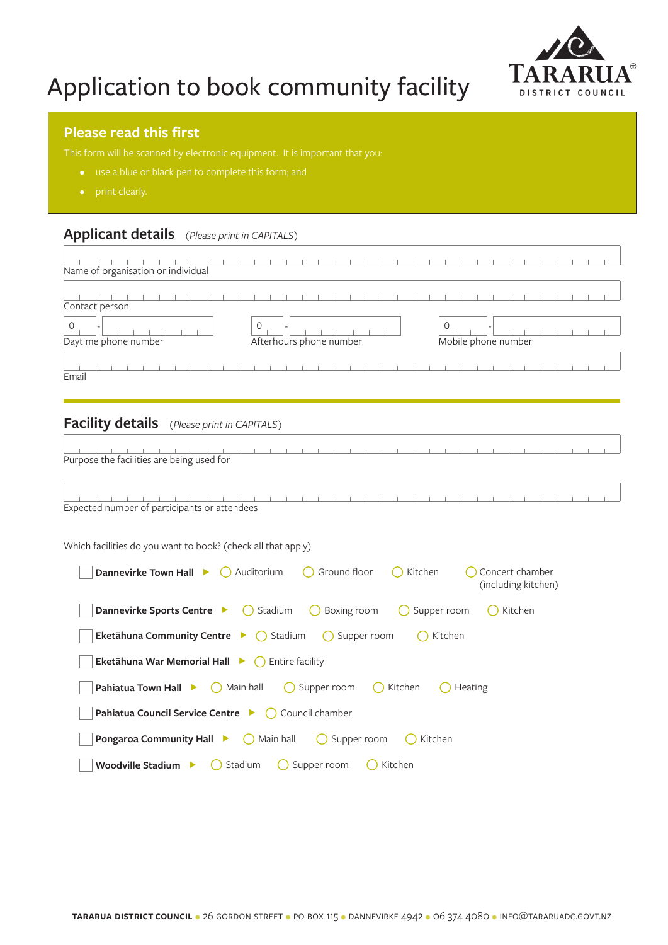

# Application to book community facility

#### **Please read this first**

- 
- print clearly.

 $\sqrt{ }$ 

### **Applicant details** *(Please print in CAPITALS)*

| Name of organisation or individual |                         |                     |
|------------------------------------|-------------------------|---------------------|
|                                    |                         |                     |
| Contact person                     |                         |                     |
|                                    | $\Omega$                |                     |
| Daytime phone number               | Afterhours phone number | Mobile phone number |
| Email                              |                         |                     |

#### **Facility details** *(Please print in CAPITALS)*

the control of the control of the <u> The Communication of the Communication of the Communication of the Communication of the Communication of the Communication of the Communication of the Communication of the Communication of the Communication of the Commun</u>  $1 - 1$  $1 - 1 - 1 - 1$  $\mathbb{R}$ Purpose the facilities are being used for

|  |  |  |  | Expected number of participants or attendees |  |  |  |  |  |  |  |  |  |  |  |
|--|--|--|--|----------------------------------------------|--|--|--|--|--|--|--|--|--|--|--|

Which facilities do you want to book? (check all that apply)

| <b>Dannevirke Town Hall &gt; C</b> Auditorium $\bigcap$ Ground floor $\bigcap$ Kitchen<br>Concert chamber<br>(including kitchen) |
|----------------------------------------------------------------------------------------------------------------------------------|
| <b>Dannevirke Sports Centre &gt; C</b> Stadium C Boxing room C Supper room C Kitchen                                             |
| <b>Eketāhuna Community Centre</b> $\triangleright$ ( ) Stadium ( ) Supper room ( ) Kitchen                                       |
| <b>Eketāhuna War Memorial Hall <math>\blacktriangleright</math> ()</b> Entire facility                                           |
| <b>Pahiatua Town Hall <math>\triangleright</math></b> $\bigcirc$ Main hall $\bigcirc$ Supper room $\bigcirc$ Kitchen<br>Heating  |
| <b>Pahiatua Council Service Centre &gt; C</b> Council chamber                                                                    |
| <b>Pongaroa Community Hall <math>\triangleright</math></b> $\bigcirc$ Main hall $\bigcirc$ Supper room<br>( ) Kitchen            |
| Woodville Stadium $\qquad \qquad \bigcirc$ Stadium<br>( ) Supper room<br>Kitchen                                                 |